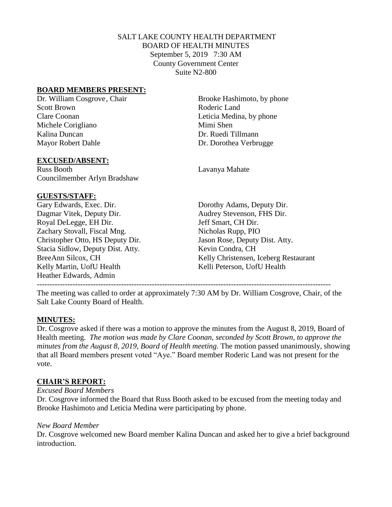# SALT LAKE COUNTY HEALTH DEPARTMENT BOARD OF HEALTH MINUTES September 5, 2019 7:30 AM County Government Center Suite N2-800

### **BOARD MEMBERS PRESENT:**

Scott Brown Roderic Land Clare Coonan Leticia Medina, by phone Michele Corigliano Mimi Shen Kalina Duncan Dr. Ruedi Tillmann Mayor Robert Dahle Dr. Dorothea Verbrugge

### **EXCUSED/ABSENT:**

Russ Booth Lavanya Mahate Councilmember Arlyn Bradshaw

### **GUESTS/STAFF:**

Gary Edwards, Exec. Dir. Dorothy Adams, Deputy Dir. Dagmar Vitek, Deputy Dir. Audrey Stevenson, FHS Dir. Royal DeLegge, EH Dir. Jeff Smart, CH Dir. Zachary Stovall, Fiscal Mng. Nicholas Rupp, PIO Christopher Otto, HS Deputy Dir. Jason Rose, Deputy Dist. Atty. Stacia Sidlow, Deputy Dist. Atty. Kevin Condra, CH Kelly Martin, UofU Health Kelli Peterson, UofU Health Heather Edwards, Admin -------------------------------------------------------------------------------------------------------------------

Dr. William Cosgrove, Chair Brooke Hashimoto, by phone

BreeAnn Silcox, CH Kelly Christensen, Iceberg Restaurant

The meeting was called to order at approximately 7:30 AM by Dr. William Cosgrove, Chair, of the Salt Lake County Board of Health.

# **MINUTES:**

Dr. Cosgrove asked if there was a motion to approve the minutes from the August 8, 2019, Board of Health meeting. *The motion was made by Clare Coonan, seconded by Scott Brown, to approve the minutes from the August 8, 2019, Board of Health meeting.* The motion passed unanimously, showing that all Board members present voted "Aye." Board member Roderic Land was not present for the vote.

# **CHAIR'S REPORT:**

### *Excused Board Members*

Dr. Cosgrove informed the Board that Russ Booth asked to be excused from the meeting today and Brooke Hashimoto and Leticia Medina were participating by phone.

### *New Board Member*

Dr. Cosgrove welcomed new Board member Kalina Duncan and asked her to give a brief background introduction.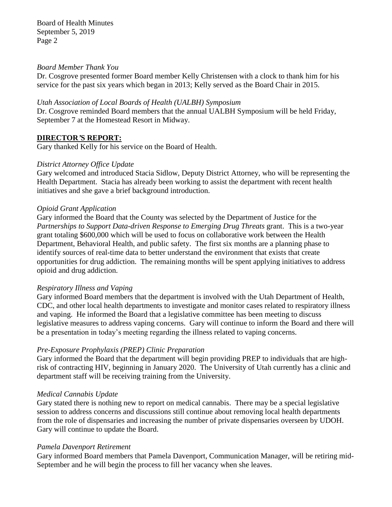Board of Health Minutes September 5, 2019 Page 2

### *Board Member Thank You*

Dr. Cosgrove presented former Board member Kelly Christensen with a clock to thank him for his service for the past six years which began in 2013; Kelly served as the Board Chair in 2015.

#### *Utah Association of Local Boards of Health (UALBH) Symposium*

Dr. Cosgrove reminded Board members that the annual UALBH Symposium will be held Friday, September 7 at the Homestead Resort in Midway.

### **DIRECTOR***'***S REPORT:**

Gary thanked Kelly for his service on the Board of Health.

### *District Attorney Office Update*

Gary welcomed and introduced Stacia Sidlow, Deputy District Attorney, who will be representing the Health Department. Stacia has already been working to assist the department with recent health initiatives and she gave a brief background introduction.

#### *Opioid Grant Application*

Gary informed the Board that the County was selected by the Department of Justice for the *Partnerships to Support Data-driven Response to Emerging Drug Threats* grant. This is a two-year grant totaling \$600,000 which will be used to focus on collaborative work between the Health Department, Behavioral Health, and public safety. The first six months are a planning phase to identify sources of real-time data to better understand the environment that exists that create opportunities for drug addiction. The remaining months will be spent applying initiatives to address opioid and drug addiction.

#### *Respiratory Illness and Vaping*

Gary informed Board members that the department is involved with the Utah Department of Health, CDC, and other local health departments to investigate and monitor cases related to respiratory illness and vaping. He informed the Board that a legislative committee has been meeting to discuss legislative measures to address vaping concerns. Gary will continue to inform the Board and there will be a presentation in today's meeting regarding the illness related to vaping concerns.

### *Pre-Exposure Prophylaxis (PREP) Clinic Preparation*

Gary informed the Board that the department will begin providing PREP to individuals that are highrisk of contracting HIV, beginning in January 2020. The University of Utah currently has a clinic and department staff will be receiving training from the University.

### *Medical Cannabis Update*

Gary stated there is nothing new to report on medical cannabis. There may be a special legislative session to address concerns and discussions still continue about removing local health departments from the role of dispensaries and increasing the number of private dispensaries overseen by UDOH. Gary will continue to update the Board.

#### *Pamela Davenport Retirement*

Gary informed Board members that Pamela Davenport, Communication Manager, will be retiring mid-September and he will begin the process to fill her vacancy when she leaves.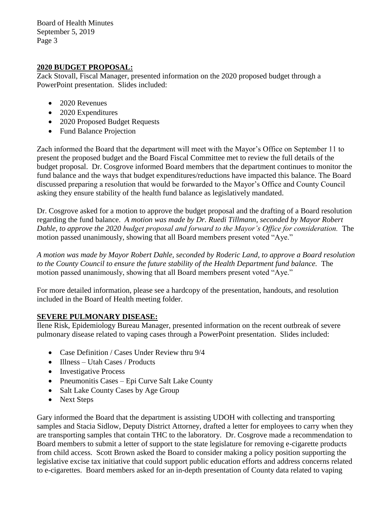Board of Health Minutes September 5, 2019 Page 3

# **2020 BUDGET PROPOSAL:**

Zack Stovall, Fiscal Manager, presented information on the 2020 proposed budget through a PowerPoint presentation. Slides included:

- 2020 Revenues
- 2020 Expenditures
- 2020 Proposed Budget Requests
- Fund Balance Projection

Zach informed the Board that the department will meet with the Mayor's Office on September 11 to present the proposed budget and the Board Fiscal Committee met to review the full details of the budget proposal. Dr. Cosgrove informed Board members that the department continues to monitor the fund balance and the ways that budget expenditures/reductions have impacted this balance. The Board discussed preparing a resolution that would be forwarded to the Mayor's Office and County Council asking they ensure stability of the health fund balance as legislatively mandated.

Dr. Cosgrove asked for a motion to approve the budget proposal and the drafting of a Board resolution regarding the fund balance. *A motion was made by Dr. Ruedi Tillmann, seconded by Mayor Robert Dahle, to approve the 2020 budget proposal and forward to the Mayor's Office for consideration.* The motion passed unanimously, showing that all Board members present voted "Aye."

*A motion was made by Mayor Robert Dahle, seconded by Roderic Land, to approve a Board resolution to the County Council to ensure the future stability of the Health Department fund balance.* The motion passed unanimously, showing that all Board members present voted "Aye."

For more detailed information, please see a hardcopy of the presentation, handouts, and resolution included in the Board of Health meeting folder.

# **SEVERE PULMONARY DISEASE:**

Ilene Risk, Epidemiology Bureau Manager, presented information on the recent outbreak of severe pulmonary disease related to vaping cases through a PowerPoint presentation. Slides included:

- Case Definition / Cases Under Review thru 9/4
- Illness Utah Cases / Products
- Investigative Process
- Pneumonitis Cases Epi Curve Salt Lake County
- Salt Lake County Cases by Age Group
- Next Steps

Gary informed the Board that the department is assisting UDOH with collecting and transporting samples and Stacia Sidlow, Deputy District Attorney, drafted a letter for employees to carry when they are transporting samples that contain THC to the laboratory. Dr. Cosgrove made a recommendation to Board members to submit a letter of support to the state legislature for removing e-cigarette products from child access. Scott Brown asked the Board to consider making a policy position supporting the legislative excise tax initiative that could support public education efforts and address concerns related to e-cigarettes. Board members asked for an in-depth presentation of County data related to vaping